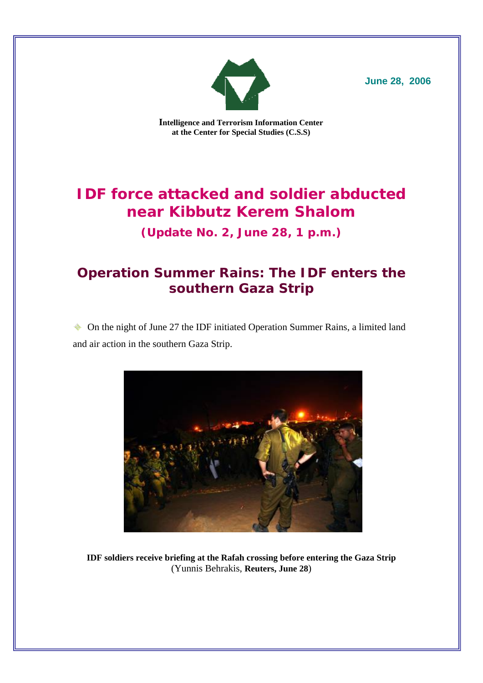

**June 28, 2006**

**Intelligence and Terrorism Information Center at the Center for Special Studies (C.S.S)** 

# **IDF force attacked and soldier abducted near Kibbutz Kerem Shalom**

**(Update No. 2, June 28, 1 p.m.)** 

# **Operation Summer Rains: The IDF enters the southern Gaza Strip**

 On the night of June 27 the IDF initiated Operation Summer Rains, a limited land and air action in the southern Gaza Strip.



**IDF soldiers receive briefing at the Rafah crossing before entering the Gaza Strip** (Yunnis Behrakis, **Reuters, June 28**)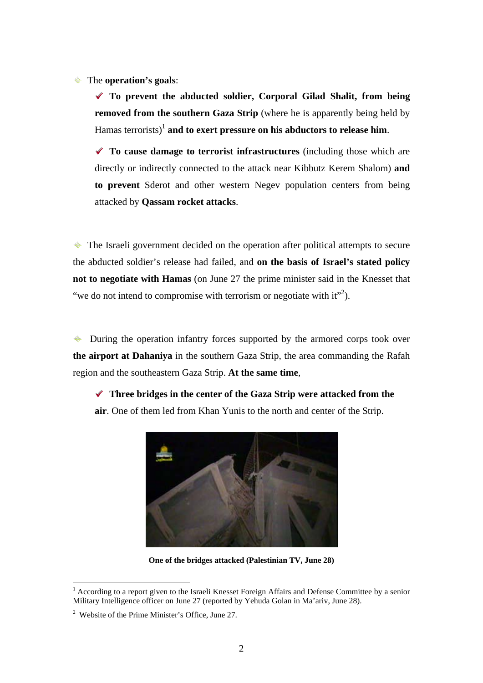The **operation's goals**:

999 **To prevent the abducted soldier, Corporal Gilad Shalit, from being removed from the southern Gaza Strip** (where he is apparently being held by Hamas terrorists)<sup>1</sup> **and to exert pressure on his abductors to release him.** 

999 **To cause damage to terrorist infrastructures** (including those which are directly or indirectly connected to the attack near Kibbutz Kerem Shalom) **and to prevent** Sderot and other western Negev population centers from being attacked by **Qassam rocket attacks**.

The Israeli government decided on the operation after political attempts to secure the abducted soldier's release had failed, and **on the basis of Israel's stated policy not to negotiate with Hamas** (on June 27 the prime minister said in the Knesset that "we do not intend to compromise with terrorism or negotiate with it"<sup>2</sup>).

• During the operation infantry forces supported by the armored corps took over **the airport at Dahaniya** in the southern Gaza Strip, the area commanding the Rafah region and the southeastern Gaza Strip. **At the same time**,

◆ Three bridges in the center of the Gaza Strip were attacked from the **air**. One of them led from Khan Yunis to the north and center of the Strip.



**One of the bridges attacked (Palestinian TV, June 28)** 

 $\overline{a}$ 

<sup>&</sup>lt;sup>1</sup> According to a report given to the Israeli Knesset Foreign Affairs and Defense Committee by a senior Military Intelligence officer on June 27 (reported by Yehuda Golan in Ma'ariv, June 28).

<sup>2</sup> Website of the Prime Minister's Office, June 27.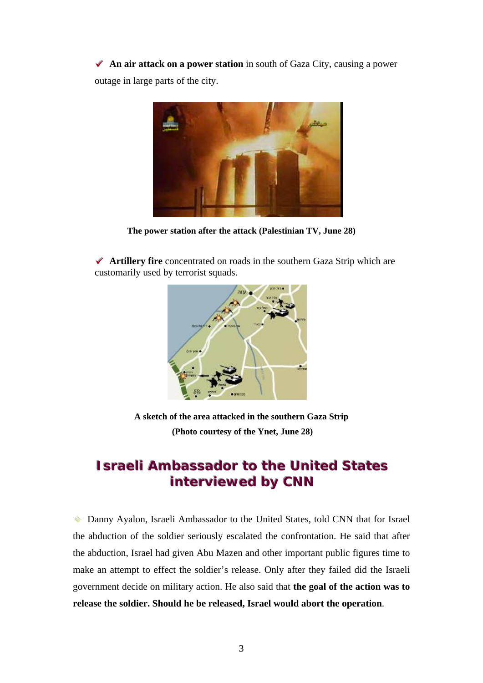◆ An air attack on a power station in south of Gaza City, causing a power outage in large parts of the city.



**The power station after the attack (Palestinian TV, June 28)** 

◆ **Artillery fire** concentrated on roads in the southern Gaza Strip which are customarily used by terrorist squads.



**A sketch of the area attacked in the southern Gaza Strip (Photo courtesy of the Ynet, June 28)** 

## **ISTAALLE AMPRESSSEAD THE UNITED STATES interviewed by CNN**

 Danny Ayalon, Israeli Ambassador to the United States, told CNN that for Israel the abduction of the soldier seriously escalated the confrontation. He said that after the abduction, Israel had given Abu Mazen and other important public figures time to make an attempt to effect the soldier's release. Only after they failed did the Israeli government decide on military action. He also said that **the goal of the action was to release the soldier. Should he be released, Israel would abort the operation**.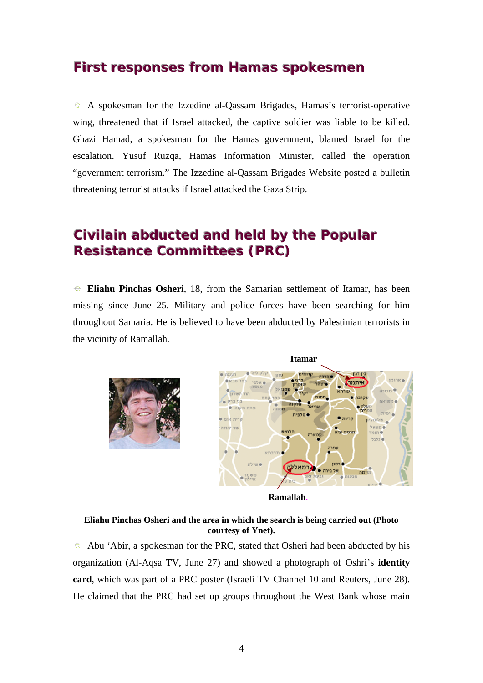### **First responses from Hamas spokesmen**

 A spokesman for the Izzedine al-Qassam Brigades, Hamas's terrorist-operative wing, threatened that if Israel attacked, the captive soldier was liable to be killed. Ghazi Hamad, a spokesman for the Hamas government, blamed Israel for the escalation. Yusuf Ruzqa, Hamas Information Minister, called the operation "government terrorism." The Izzedine al-Qassam Brigades Website posted a bulletin threatening terrorist attacks if Israel attacked the Gaza Strip.

# **Civilain abducted and held by the Popular Resistance Committees (PRC)**

 **Eliahu Pinchas Osheri**, 18, from the Samarian settlement of Itamar, has been missing since June 25. Military and police forces have been searching for him throughout Samaria. He is believed to have been abducted by Palestinian terrorists in the vicinity of Ramallah.



**Ramallah.** 

#### **Eliahu Pinchas Osheri and the area in which the search is being carried out (Photo courtesy of Ynet).**

 Abu 'Abir, a spokesman for the PRC, stated that Osheri had been abducted by his organization (Al-Aqsa TV, June 27) and showed a photograph of Oshri's **identity card**, which was part of a PRC poster (Israeli TV Channel 10 and Reuters, June 28). He claimed that the PRC had set up groups throughout the West Bank whose main